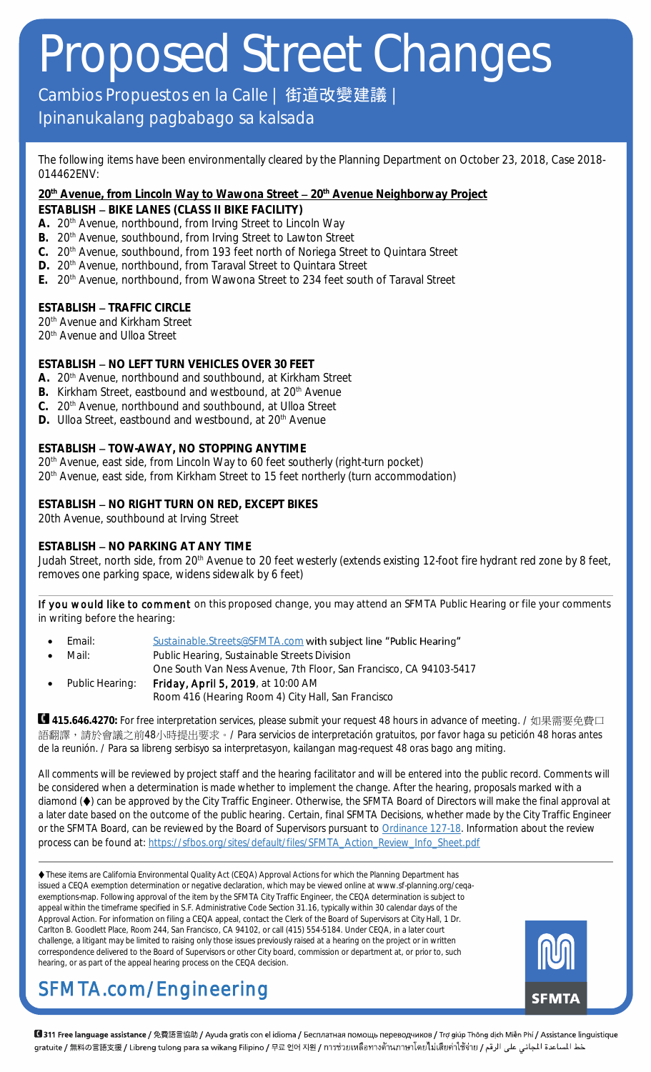### Cambios Propuestos en la Calle | 街道改變建議

### Ipinanukalang pagbabago sa kalsada

The following items have been environmentally cleared by the Planning Department on October 23, 2018, Case 2018- 014462ENV:

**20th Avenue, from Lincoln Way to Wawona Street 20th Avenue Neighborway Project**

- **ESTABLISH BIKE LANES (CLASS II BIKE FACILITY)**
- A. 20<sup>th</sup> Avenue, northbound, from Irving Street to Lincoln Way
- B. 20<sup>th</sup> Avenue, southbound, from Irving Street to Lawton Street
- **C.** 20th Avenue, southbound, from 193 feet north of Noriega Street to Quintara Street
- D. 20<sup>th</sup> Avenue, northbound, from Taraval Street to Quintara Street
- **E.** 20th Avenue, northbound, from Wawona Street to 234 feet south of Taraval Street

**ESTABLISH - TRAFFIC CIRCLE** 20<sup>th</sup> Avenue and Kirkham Street

20<sup>th</sup> Avenue and Ulloa Street

**ESTABLISH - NO LEFT TURN VEHICLES OVER 30 FEET** 

- **A.** 20th Avenue, northbound and southbound, at Kirkham Street
- B. Kirkham Street, eastbound and westbound, at 20<sup>th</sup> Avenue
- **C.** 20th Avenue, northbound and southbound, at Ulloa Street
- D. Ulloa Street, eastbound and westbound, at 20<sup>th</sup> Avenue

**ESTABLISH - TOW-AWAY, NO STOPPING ANYTIME** 

20<sup>th</sup> Avenue, east side, from Lincoln Way to 60 feet southerly (right-turn pocket)

20th Avenue, east side, from Kirkham Street to 15 feet northerly (turn accommodation)

**ESTABLISH - NO RIGHT TURN ON RED, EXCEPT BIKES** 20th Avenue, southbound at Irving Street

#### **ESTABLISH - NO PARKING AT ANY TIME**

Judah Street, north side, from 20<sup>th</sup> Avenue to 20 feet westerly (extends existing 12-foot fire hydrant red zone by 8 feet, removes one parking space, widens sidewalk by 6 feet)

If you would like to comment on this proposed change, you may attend an SFMTA Public Hearing or file your comments in writing before the hearing:

- Email: [Sustainable.Streets@SFMTA.com](mailto:Sustainable.Streets@SFMTA.com?subject=Public%20Hearing) with subject line "Public Hearing"
- Mail: Public Hearing, Sustainable Streets Division
- One South Van Ness Avenue, 7th Floor, San Francisco, CA 94103-5417
- Public Hearing: Friday, April 5, 2019, at 10:00 AM Room 416 (Hearing Room 4) City Hall, San Francisco

**415.646.4270:** For free interpretation services, please submit your request 48 hours in advance of meeting. / 如果需要免費口 語翻譯,請於會議之前48小時提出要求。/ Para servicios de interpretación gratuitos, por favor haga su petición 48 horas antes de la reunión. / Para sa libreng serbisyo sa interpretasyon, kailangan mag-request 48 oras bago ang miting.

All comments will be reviewed by project staff and the hearing facilitator and will be entered into the public record. Comments will be considered when a determination is made whether to implement the change. After the hearing, proposals marked with a diamond ( $\blacklozenge$ ) can be approved by the City Traffic Engineer. Otherwise, the SFMTA Board of Directors will make the final approval at a later date based on the outcome of the public hearing. Certain, final SFMTA Decisions, whether made by the City Traffic Engineer or the SFMTA Board, can be reviewed by the Board of Supervisors pursuant to [Ordinance 127-18.](https://sfbos.org/sites/default/files/o0127-18.pdf) Information about the review process can be found at[: https://sfbos.org/sites/default/files/SFMTA\\_Action\\_Review\\_Info\\_Sheet.pdf](https://sfbos.org/sites/default/files/SFMTA_Action_Review_Info_Sheet.pdf)

 These items are California Environmental Quality Act (CEQA) Approval Actions for which the Planning Department has issued a CEQA exemption determination or negative declaration, which may be viewed online at www.sf-planning.org/ceqaexemptions-map. Following approval of the item by the SFMTA City Traffic Engineer, the CEQA determination is subject to appeal within the timeframe specified in S.F. Administrative Code Section 31.16, typically within 30 calendar days of the Approval Action. For information on filing a CEQA appeal, contact the Clerk of the Board of Supervisors at City Hall, 1 Dr. Carlton B. Goodlett Place, Room 244, San Francisco, CA 94102, or call (415) 554-5184. Under CEQA, in a later court challenge, a litigant may be limited to raising only those issues previously raised at a hearing on the project or in written correspondence delivered to the Board of Supervisors or other City board, commission or department at, or prior to, such hearing, or as part of the appeal hearing process on the CEQA decision.



## SFMTA.com/Engineering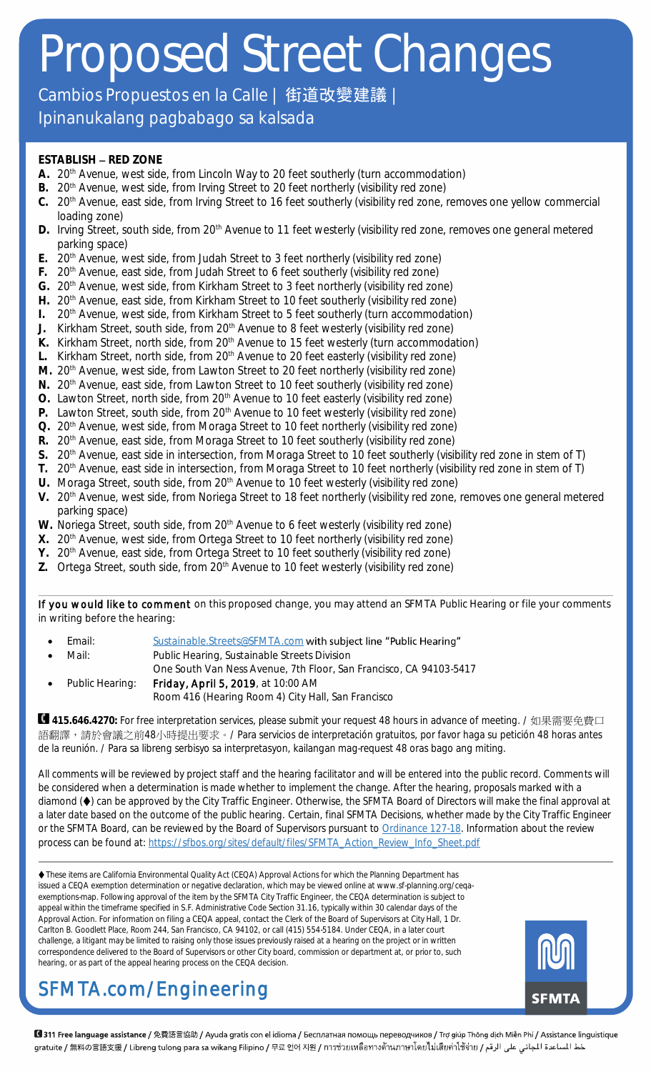Cambios Propuestos en la Calle | 街道改變建議

Ipinanukalang pagbabago sa kalsada

#### **ESTABLISH - RED ZONE**

- **A.** 20th Avenue, west side, from Lincoln Way to 20 feet southerly (turn accommodation)
- B. 20<sup>th</sup> Avenue, west side, from Irving Street to 20 feet northerly (visibility red zone)
- **C.** 20th Avenue, east side, from Irving Street to 16 feet southerly (visibility red zone, removes one yellow commercial loading zone)
- D. Irving Street, south side, from 20<sup>th</sup> Avenue to 11 feet westerly (visibility red zone, removes one general metered parking space)
- **E.** 20th Avenue, west side, from Judah Street to 3 feet northerly (visibility red zone)
- F. 20<sup>th</sup> Avenue, east side, from Judah Street to 6 feet southerly (visibility red zone)
- G. 20<sup>th</sup> Avenue, west side, from Kirkham Street to 3 feet northerly (visibility red zone)
- H. 20<sup>th</sup> Avenue, east side, from Kirkham Street to 10 feet southerly (visibility red zone)
- **I.** 20<sup>th</sup> Avenue, west side, from Kirkham Street to 5 feet southerly (turn accommodation)
- J. Kirkham Street, south side, from 20<sup>th</sup> Avenue to 8 feet westerly (visibility red zone)
- K. Kirkham Street, north side, from 20<sup>th</sup> Avenue to 15 feet westerly (turn accommodation)
- L. Kirkham Street, north side, from 20<sup>th</sup> Avenue to 20 feet easterly (visibility red zone)
- M. 20<sup>th</sup> Avenue, west side, from Lawton Street to 20 feet northerly (visibility red zone)
- N. 20<sup>th</sup> Avenue, east side, from Lawton Street to 10 feet southerly (visibility red zone)
- O. Lawton Street, north side, from 20<sup>th</sup> Avenue to 10 feet easterly (visibility red zone)
- P. Lawton Street, south side, from 20<sup>th</sup> Avenue to 10 feet westerly (visibility red zone)
- Q. 20<sup>th</sup> Avenue, west side, from Moraga Street to 10 feet northerly (visibility red zone)
- R. 20<sup>th</sup> Avenue, east side, from Moraga Street to 10 feet southerly (visibility red zone)
- S. 20<sup>th</sup> Avenue, east side in intersection, from Moraga Street to 10 feet southerly (visibility red zone in stem of T)
- **T.** 20th Avenue, east side in intersection, from Moraga Street to 10 feet northerly (visibility red zone in stem of T)
- U. Moraga Street, south side, from 20<sup>th</sup> Avenue to 10 feet westerly (visibility red zone)
- V. 20<sup>th</sup> Avenue, west side, from Noriega Street to 18 feet northerly (visibility red zone, removes one general metered parking space)
- W. Noriega Street, south side, from 20<sup>th</sup> Avenue to 6 feet westerly (visibility red zone)
- **X.** 20th Avenue, west side, from Ortega Street to 10 feet northerly (visibility red zone)
- Y. 20<sup>th</sup> Avenue, east side, from Ortega Street to 10 feet southerly (visibility red zone)
- Z. Ortega Street, south side, from 20<sup>th</sup> Avenue to 10 feet westerly (visibility red zone)

If you would like to comment on this proposed change, you may attend an SFMTA Public Hearing or file your comments in writing before the hearing:

- Email: [Sustainable.Streets@SFMTA.com](mailto:Sustainable.Streets@SFMTA.com?subject=Public%20Hearing) with subject line "Public Hearing"
- Mail: Public Hearing, Sustainable Streets Division
- One South Van Ness Avenue, 7th Floor, San Francisco, CA 94103-5417
- Public Hearing: Friday, April 5, 2019, at 10:00 AM Room 416 (Hearing Room 4) City Hall, San Francisco

**415.646.4270:** For free interpretation services, please submit your request 48 hours in advance of meeting. / 如果需要免費口 語翻譯,請於會議之前48小時提出要求。/ Para servicios de interpretación gratuitos, por favor haga su petición 48 horas antes de la reunión. / Para sa libreng serbisyo sa interpretasyon, kailangan mag-request 48 oras bago ang miting.

All comments will be reviewed by project staff and the hearing facilitator and will be entered into the public record. Comments will be considered when a determination is made whether to implement the change. After the hearing, proposals marked with a diamond ( $\blacklozenge$ ) can be approved by the City Traffic Engineer. Otherwise, the SFMTA Board of Directors will make the final approval at a later date based on the outcome of the public hearing. Certain, final SFMTA Decisions, whether made by the City Traffic Engineer or the SFMTA Board, can be reviewed by the Board of Supervisors pursuant to [Ordinance 127-18.](https://sfbos.org/sites/default/files/o0127-18.pdf) Information about the review process can be found at[: https://sfbos.org/sites/default/files/SFMTA\\_Action\\_Review\\_Info\\_Sheet.pdf](https://sfbos.org/sites/default/files/SFMTA_Action_Review_Info_Sheet.pdf)

 These items are California Environmental Quality Act (CEQA) Approval Actions for which the Planning Department has issued a CEQA exemption determination or negative declaration, which may be viewed online at www.sf-planning.org/ceqaexemptions-map. Following approval of the item by the SFMTA City Traffic Engineer, the CEQA determination is subject to appeal within the timeframe specified in S.F. Administrative Code Section 31.16, typically within 30 calendar days of the Approval Action. For information on filing a CEQA appeal, contact the Clerk of the Board of Supervisors at City Hall, 1 Dr. Carlton B. Goodlett Place, Room 244, San Francisco, CA 94102, or call (415) 554-5184. Under CEQA, in a later court challenge, a litigant may be limited to raising only those issues previously raised at a hearing on the project or in written correspondence delivered to the Board of Supervisors or other City board, commission or department at, or prior to, such hearing, or as part of the appeal hearing process on the CEQA decision.



### SFMTA.com/Engineering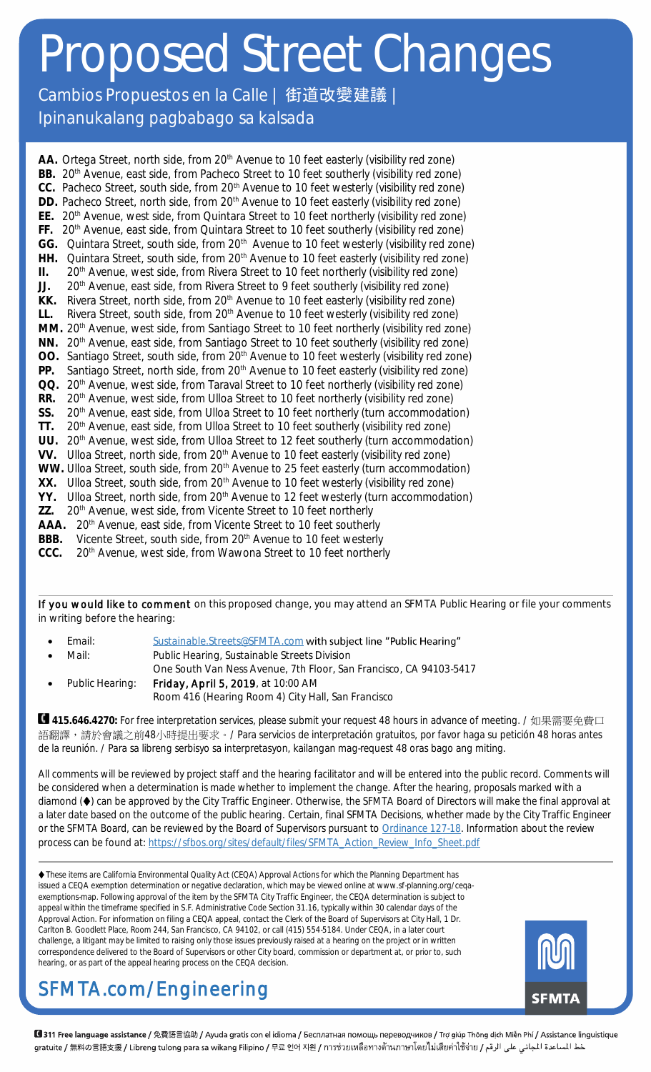Cambios Propuestos en la Calle | 街道改變建議

Ipinanukalang pagbabago sa kalsada

AA. Ortega Street, north side, from 20<sup>th</sup> Avenue to 10 feet easterly (visibility red zone) BB. 20<sup>th</sup> Avenue, east side, from Pacheco Street to 10 feet southerly (visibility red zone) CC. Pacheco Street, south side, from 20<sup>th</sup> Avenue to 10 feet westerly (visibility red zone) DD. Pacheco Street, north side, from 20<sup>th</sup> Avenue to 10 feet easterly (visibility red zone) **EE.** 20th Avenue, west side, from Quintara Street to 10 feet northerly (visibility red zone) FF. 20<sup>th</sup> Avenue, east side, from Quintara Street to 10 feet southerly (visibility red zone) GG. Quintara Street, south side, from 20<sup>th</sup> Avenue to 10 feet westerly (visibility red zone) HH. Quintara Street, south side, from 20<sup>th</sup> Avenue to 10 feet easterly (visibility red zone) II. 20<sup>th</sup> Avenue, west side, from Rivera Street to 10 feet northerly (visibility red zone) JJ. 20<sup>th</sup> Avenue, east side, from Rivera Street to 9 feet southerly (visibility red zone) KK. Rivera Street, north side, from 20<sup>th</sup> Avenue to 10 feet easterly (visibility red zone) LL. Rivera Street, south side, from 20<sup>th</sup> Avenue to 10 feet westerly (visibility red zone) MM. 20<sup>th</sup> Avenue, west side, from Santiago Street to 10 feet northerly (visibility red zone) NN. 20<sup>th</sup> Avenue, east side, from Santiago Street to 10 feet southerly (visibility red zone) OO. Santiago Street, south side, from 20<sup>th</sup> Avenue to 10 feet westerly (visibility red zone) PP. Santiago Street, north side, from 20<sup>th</sup> Avenue to 10 feet easterly (visibility red zone) QQ. 20<sup>th</sup> Avenue, west side, from Taraval Street to 10 feet northerly (visibility red zone) RR. 20<sup>th</sup> Avenue, west side, from Ulloa Street to 10 feet northerly (visibility red zone) SS. 20<sup>th</sup> Avenue, east side, from Ulloa Street to 10 feet northerly (turn accommodation) TT. 20<sup>th</sup> Avenue, east side, from Ulloa Street to 10 feet southerly (visibility red zone) UU. 20<sup>th</sup> Avenue, west side, from Ulloa Street to 12 feet southerly (turn accommodation) VV. Ulloa Street, north side, from 20<sup>th</sup> Avenue to 10 feet easterly (visibility red zone) WW. Ulloa Street, south side, from 20<sup>th</sup> Avenue to 25 feet easterly (turn accommodation) XX. Ulloa Street, south side, from 20<sup>th</sup> Avenue to 10 feet westerly (visibility red zone) YY. Ulloa Street, north side, from 20<sup>th</sup> Avenue to 12 feet westerly (turn accommodation) ZZ. 20<sup>th</sup> Avenue, west side, from Vicente Street to 10 feet northerly AAA. 20<sup>th</sup> Avenue, east side, from Vicente Street to 10 feet southerly BBB. Vicente Street, south side, from 20<sup>th</sup> Avenue to 10 feet westerly CCC. 20<sup>th</sup> Avenue, west side, from Wawona Street to 10 feet northerly

If you would like to comment on this proposed change, you may attend an SFMTA Public Hearing or file your comments in writing before the hearing:

- Email: [Sustainable.Streets@SFMTA.com](mailto:Sustainable.Streets@SFMTA.com?subject=Public%20Hearing) with subject line "Public Hearing"
- Mail: Public Hearing, Sustainable Streets Division
	- One South Van Ness Avenue, 7th Floor, San Francisco, CA 94103-5417
- Public Hearing: Friday, April 5, 2019, at 10:00 AM Room 416 (Hearing Room 4) City Hall, San Francisco

**415.646.4270:** For free interpretation services, please submit your request 48 hours in advance of meeting. / 如果需要免費口 語翻譯,請於會議之前48小時提出要求。/ Para servicios de interpretación gratuitos, por favor haga su petición 48 horas antes de la reunión. / Para sa libreng serbisyo sa interpretasyon, kailangan mag-request 48 oras bago ang miting.

All comments will be reviewed by project staff and the hearing facilitator and will be entered into the public record. Comments will be considered when a determination is made whether to implement the change. After the hearing, proposals marked with a diamond ( $\blacklozenge$ ) can be approved by the City Traffic Engineer. Otherwise, the SFMTA Board of Directors will make the final approval at a later date based on the outcome of the public hearing. Certain, final SFMTA Decisions, whether made by the City Traffic Engineer or the SFMTA Board, can be reviewed by the Board of Supervisors pursuant to [Ordinance 127-18.](https://sfbos.org/sites/default/files/o0127-18.pdf) Information about the review process can be found at[: https://sfbos.org/sites/default/files/SFMTA\\_Action\\_Review\\_Info\\_Sheet.pdf](https://sfbos.org/sites/default/files/SFMTA_Action_Review_Info_Sheet.pdf)

 These items are California Environmental Quality Act (CEQA) Approval Actions for which the Planning Department has issued a CEQA exemption determination or negative declaration, which may be viewed online at www.sf-planning.org/ceqaexemptions-map. Following approval of the item by the SFMTA City Traffic Engineer, the CEQA determination is subject to appeal within the timeframe specified in S.F. Administrative Code Section 31.16, typically within 30 calendar days of the Approval Action. For information on filing a CEQA appeal, contact the Clerk of the Board of Supervisors at City Hall, 1 Dr. Carlton B. Goodlett Place, Room 244, San Francisco, CA 94102, or call (415) 554-5184. Under CEQA, in a later court challenge, a litigant may be limited to raising only those issues previously raised at a hearing on the project or in written correspondence delivered to the Board of Supervisors or other City board, commission or department at, or prior to, such hearing, or as part of the appeal hearing process on the CEQA decision.



## SFMTA.com/Engineering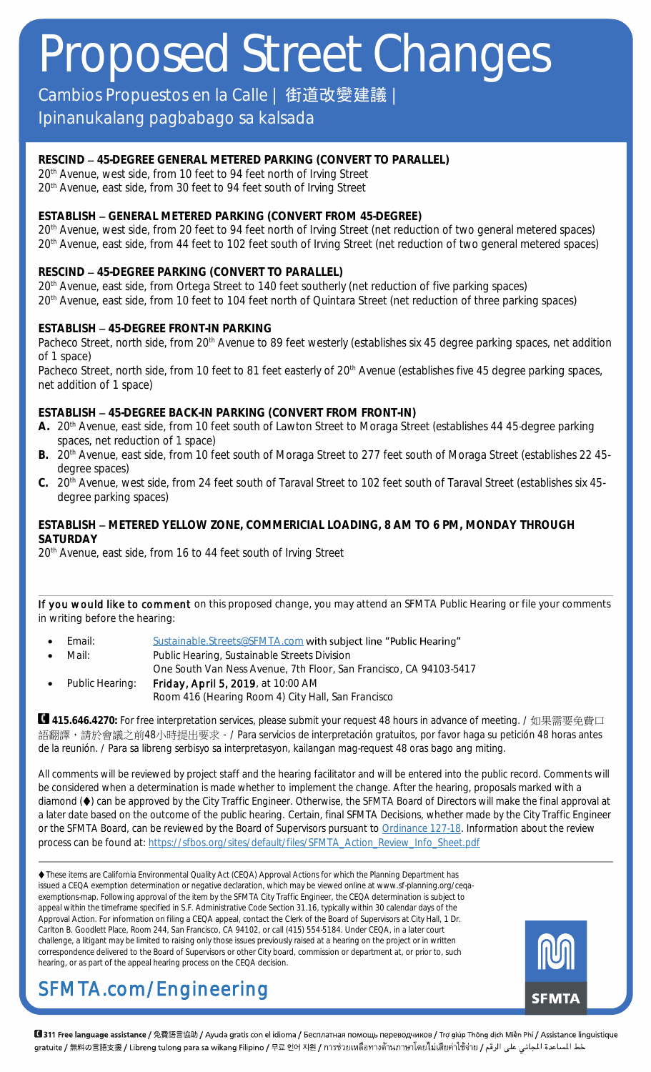Cambios Propuestos en la Calle | 街道改變建議

### Ipinanukalang pagbabago sa kalsada

**RESCIND 45-DEGREE GENERAL METERED PARKING (CONVERT TO PARALLEL)** 20<sup>th</sup> Avenue, west side, from 10 feet to 94 feet north of Irving Street 20<sup>th</sup> Avenue, east side, from 30 feet to 94 feet south of Irving Street

**ESTABLISH GENERAL METERED PARKING (CONVERT FROM 45-DEGREE)** 20<sup>th</sup> Avenue, west side, from 20 feet to 94 feet north of Irving Street (net reduction of two general metered spaces) 20<sup>th</sup> Avenue, east side, from 44 feet to 102 feet south of Irving Street (net reduction of two general metered spaces)

#### **RESCIND 45-DEGREE PARKING (CONVERT TO PARALLEL)**

20<sup>th</sup> Avenue, east side, from Ortega Street to 140 feet southerly (net reduction of five parking spaces) 20<sup>th</sup> Avenue, east side, from 10 feet to 104 feet north of Quintara Street (net reduction of three parking spaces)

#### **ESTABLISH 45-DEGREE FRONT-IN PARKING**

Pacheco Street, north side, from 20<sup>th</sup> Avenue to 89 feet westerly (establishes six 45 degree parking spaces, net addition of 1 space)

Pacheco Street, north side, from 10 feet to 81 feet easterly of 20<sup>th</sup> Avenue (establishes five 45 degree parking spaces, net addition of 1 space)

**ESTABLISH 45-DEGREE BACK-IN PARKING (CONVERT FROM FRONT-IN)**

- **A.** 20th Avenue, east side, from 10 feet south of Lawton Street to Moraga Street (establishes 44 45-degree parking spaces, net reduction of 1 space)
- B. 20<sup>th</sup> Avenue, east side, from 10 feet south of Moraga Street to 277 feet south of Moraga Street (establishes 22 45degree spaces)
- **C.** 20th Avenue, west side, from 24 feet south of Taraval Street to 102 feet south of Taraval Street (establishes six 45 degree parking spaces)

#### **ESTABLISH METERED YELLOW ZONE, COMMERICIAL LOADING, 8 AM TO 6 PM, MONDAY THROUGH SATURDAY**

20<sup>th</sup> Avenue, east side, from 16 to 44 feet south of Irving Street

If you would like to comment on this proposed change, you may attend an SFMTA Public Hearing or file your comments in writing before the hearing:

- Email: [Sustainable.Streets@SFMTA.com](mailto:Sustainable.Streets@SFMTA.com?subject=Public%20Hearing) with subject line "Public Hearing"
- Mail: Public Hearing, Sustainable Streets Division
	- One South Van Ness Avenue, 7th Floor, San Francisco, CA 94103-5417
- Public Hearing: Friday, April 5, 2019, at 10:00 AM Room 416 (Hearing Room 4) City Hall, San Francisco

**415.646.4270:** For free interpretation services, please submit your request 48 hours in advance of meeting. / 如果需要免費口 語翻譯,請於會議之前48小時提出要求。/ Para servicios de interpretación gratuitos, por favor haga su petición 48 horas antes de la reunión. / Para sa libreng serbisyo sa interpretasyon, kailangan mag-request 48 oras bago ang miting.

All comments will be reviewed by project staff and the hearing facilitator and will be entered into the public record. Comments will be considered when a determination is made whether to implement the change. After the hearing, proposals marked with a diamond ( $\blacklozenge$ ) can be approved by the City Traffic Engineer. Otherwise, the SFMTA Board of Directors will make the final approval at a later date based on the outcome of the public hearing. Certain, final SFMTA Decisions, whether made by the City Traffic Engineer or the SFMTA Board, can be reviewed by the Board of Supervisors pursuant to [Ordinance 127-18.](https://sfbos.org/sites/default/files/o0127-18.pdf) Information about the review process can be found at[: https://sfbos.org/sites/default/files/SFMTA\\_Action\\_Review\\_Info\\_Sheet.pdf](https://sfbos.org/sites/default/files/SFMTA_Action_Review_Info_Sheet.pdf)

 These items are California Environmental Quality Act (CEQA) Approval Actions for which the Planning Department has issued a CEQA exemption determination or negative declaration, which may be viewed online at www.sf-planning.org/ceqaexemptions-map. Following approval of the item by the SFMTA City Traffic Engineer, the CEQA determination is subject to appeal within the timeframe specified in S.F. Administrative Code Section 31.16, typically within 30 calendar days of the Approval Action. For information on filing a CEQA appeal, contact the Clerk of the Board of Supervisors at City Hall, 1 Dr. Carlton B. Goodlett Place, Room 244, San Francisco, CA 94102, or call (415) 554-5184. Under CEQA, in a later court challenge, a litigant may be limited to raising only those issues previously raised at a hearing on the project or in written correspondence delivered to the Board of Supervisors or other City board, commission or department at, or prior to, such hearing, or as part of the appeal hearing process on the CEQA decision.



## SFMTA.com/Engineering